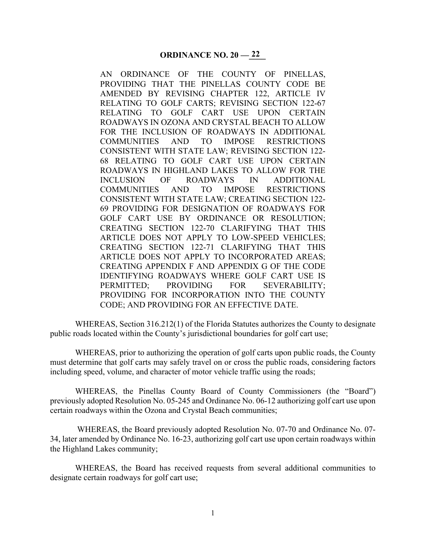AN ORDINANCE OF THE COUNTY OF PINELLAS, PROVIDING THAT THE PINELLAS COUNTY CODE BE AMENDED BY REVISING CHAPTER 122, ARTICLE IV RELATING TO GOLF CARTS; REVISING SECTION 122-67 RELATING TO GOLF CART USE UPON CERTAIN ROADWAYS IN OZONA AND CRYSTAL BEACH TO ALLOW FOR THE INCLUSION OF ROADWAYS IN ADDITIONAL COMMUNITIES AND TO IMPOSE RESTRICTIONS CONSISTENT WITH STATE LAW; REVISING SECTION 122- 68 RELATING TO GOLF CART USE UPON CERTAIN ROADWAYS IN HIGHLAND LAKES TO ALLOW FOR THE INCLUSION OF ROADWAYS IN ADDITIONAL COMMUNITIES AND TO IMPOSE RESTRICTIONS CONSISTENT WITH STATE LAW; CREATING SECTION 122- 69 PROVIDING FOR DESIGNATION OF ROADWAYS FOR GOLF CART USE BY ORDINANCE OR RESOLUTION; CREATING SECTION 122-70 CLARIFYING THAT THIS ARTICLE DOES NOT APPLY TO LOW-SPEED VEHICLES; CREATING SECTION 122-71 CLARIFYING THAT THIS ARTICLE DOES NOT APPLY TO INCORPORATED AREAS; CREATING APPENDIX F AND APPENDIX G OF THE CODE IDENTIFYING ROADWAYS WHERE GOLF CART USE IS PERMITTED; PROVIDING FOR SEVERABILITY; PROVIDING FOR INCORPORATION INTO THE COUNTY CODE; AND PROVIDING FOR AN EFFECTIVE DATE.

WHEREAS, Section 316.212(1) of the Florida Statutes authorizes the County to designate public roads located within the County's jurisdictional boundaries for golf cart use;

WHEREAS, prior to authorizing the operation of golf carts upon public roads, the County must determine that golf carts may safely travel on or cross the public roads, considering factors including speed, volume, and character of motor vehicle traffic using the roads;

WHEREAS, the Pinellas County Board of County Commissioners (the "Board") previously adopted Resolution No. 05-245 and Ordinance No. 06-12 authorizing golf cart use upon certain roadways within the Ozona and Crystal Beach communities;

 WHEREAS, the Board previously adopted Resolution No. 07-70 and Ordinance No. 07- 34, later amended by Ordinance No. 16-23, authorizing golf cart use upon certain roadways within the Highland Lakes community;

WHEREAS, the Board has received requests from several additional communities to designate certain roadways for golf cart use;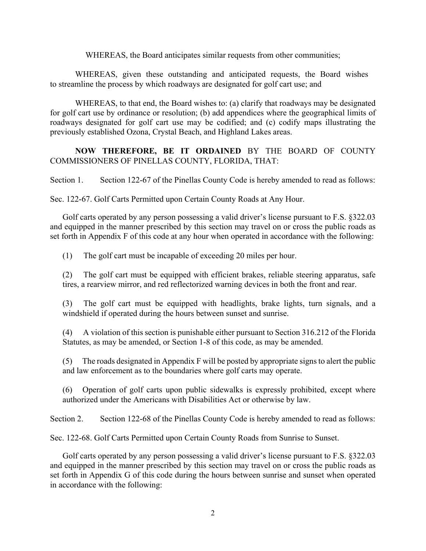WHEREAS, the Board anticipates similar requests from other communities;

WHEREAS, given these outstanding and anticipated requests, the Board wishes to streamline the process by which roadways are designated for golf cart use; and

WHEREAS, to that end, the Board wishes to: (a) clarify that roadways may be designated for golf cart use by ordinance or resolution; (b) add appendices where the geographical limits of roadways designated for golf cart use may be codified; and (c) codify maps illustrating the previously established Ozona, Crystal Beach, and Highland Lakes areas.

## **NOW THEREFORE, BE IT ORDAINED** BY THE BOARD OF COUNTY COMMISSIONERS OF PINELLAS COUNTY, FLORIDA, THAT:

Section 1. Section 122-67 of the Pinellas County Code is hereby amended to read as follows:

Sec. 122-67. Golf Carts Permitted upon Certain County Roads at Any Hour.

Golf carts operated by any person possessing a valid driver's license pursuant to F.S. §322.03 and equipped in the manner prescribed by this section may travel on or cross the public roads as set forth in Appendix F of this code at any hour when operated in accordance with the following:

(1) The golf cart must be incapable of exceeding 20 miles per hour.

(2) The golf cart must be equipped with efficient brakes, reliable steering apparatus, safe tires, a rearview mirror, and red reflectorized warning devices in both the front and rear.

(3) The golf cart must be equipped with headlights, brake lights, turn signals, and a windshield if operated during the hours between sunset and sunrise.

(4) A violation of this section is punishable either pursuant to Section 316.212 of the Florida Statutes, as may be amended, or Section 1-8 of this code, as may be amended.

(5) The roads designated in Appendix F will be posted by appropriate signs to alert the public and law enforcement as to the boundaries where golf carts may operate.

(6) Operation of golf carts upon public sidewalks is expressly prohibited, except where authorized under the Americans with Disabilities Act or otherwise by law.

Section 2. Section 122-68 of the Pinellas County Code is hereby amended to read as follows:

Sec. 122-68. Golf Carts Permitted upon Certain County Roads from Sunrise to Sunset.

Golf carts operated by any person possessing a valid driver's license pursuant to F.S. §322.03 and equipped in the manner prescribed by this section may travel on or cross the public roads as set forth in Appendix G of this code during the hours between sunrise and sunset when operated in accordance with the following: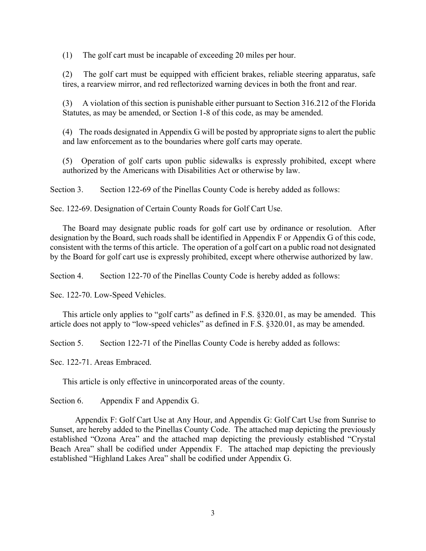(1) The golf cart must be incapable of exceeding 20 miles per hour.

(2) The golf cart must be equipped with efficient brakes, reliable steering apparatus, safe tires, a rearview mirror, and red reflectorized warning devices in both the front and rear.

(3) A violation of this section is punishable either pursuant to Section 316.212 of the Florida Statutes, as may be amended, or Section 1-8 of this code, as may be amended.

(4) The roads designated in Appendix G will be posted by appropriate signs to alert the public and law enforcement as to the boundaries where golf carts may operate.

(5) Operation of golf carts upon public sidewalks is expressly prohibited, except where authorized by the Americans with Disabilities Act or otherwise by law.

Section 3. Section 122-69 of the Pinellas County Code is hereby added as follows:

Sec. 122-69. Designation of Certain County Roads for Golf Cart Use.

The Board may designate public roads for golf cart use by ordinance or resolution. After designation by the Board, such roads shall be identified in Appendix F or Appendix G of this code, consistent with the terms of this article. The operation of a golf cart on a public road not designated by the Board for golf cart use is expressly prohibited, except where otherwise authorized by law.

Section 4. Section 122-70 of the Pinellas County Code is hereby added as follows:

Sec. 122-70. Low-Speed Vehicles.

This article only applies to "golf carts" as defined in F.S. §320.01, as may be amended. This article does not apply to "low-speed vehicles" as defined in F.S. §320.01, as may be amended.

Section 5. Section 122-71 of the Pinellas County Code is hereby added as follows:

Sec. 122-71. Areas Embraced.

This article is only effective in unincorporated areas of the county.

Section 6. Appendix F and Appendix G.

Appendix F: Golf Cart Use at Any Hour, and Appendix G: Golf Cart Use from Sunrise to Sunset, are hereby added to the Pinellas County Code. The attached map depicting the previously established "Ozona Area" and the attached map depicting the previously established "Crystal Beach Area" shall be codified under Appendix F. The attached map depicting the previously established "Highland Lakes Area" shall be codified under Appendix G.